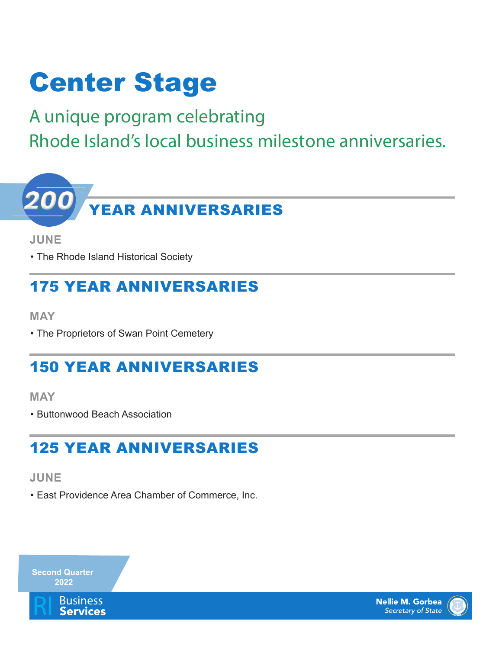# Center Stage

A unique program celebrating Rhode Island's local business milestone anniversaries.



**JUNE**

• The Rhode Island Historical Society

### 175 YEAR ANNIVERSARIES

**MAY**

• The Proprietors of Swan Point Cemetery

# 150 YEAR ANNIVERSARIES

**MAY**

• Buttonwood Beach Association

# 125 YEAR ANNIVERSARIES

#### **JUNE**

• East Providence Area Chamber of Commerce, Inc.





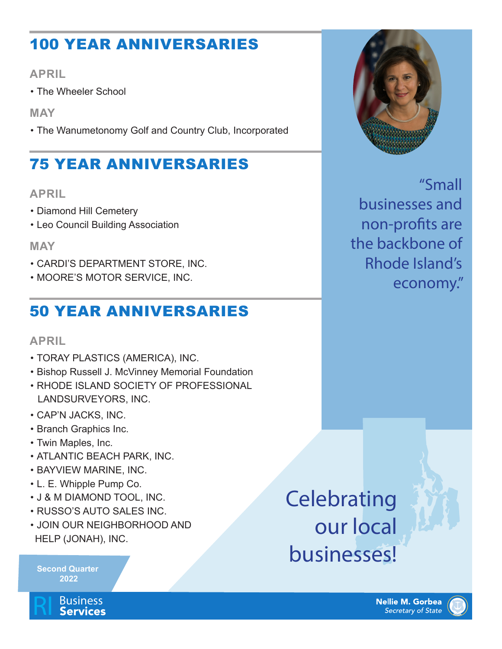# 100 YEAR ANNIVERSARIES

### **APRIL**

• The Wheeler School

**MAY**

• The Wanumetonomy Golf and Country Club, Incorporated

### 75 YEAR ANNIVERSARIES

#### **APRIL**

- Diamond Hill Cemetery
- Leo Council Building Association

#### **MAY**

- CARDI'S DEPARTMENT STORE, INC.
- MOORE'S MOTOR SERVICE, INC.

# 50 YEAR ANNIVERSARIES

#### **APRIL**

- TORAY PLASTICS (AMERICA), INC.
- Bishop Russell J. McVinney Memorial Foundation
- RHODE ISLAND SOCIETY OF PROFESSIONAL LANDSURVEYORS, INC.
- CAP'N JACKS, INC.
- Branch Graphics Inc.
- Twin Maples, Inc.
- ATLANTIC BEACH PARK, INC.
- BAYVIEW MARINE, INC.
- L. E. Whipple Pump Co.
- J & M DIAMOND TOOL, INC.
- RUSSO'S AUTO SALES INC.
- JOIN OUR NEIGHBORHOOD AND HELP (JONAH), INC.

**Second Quarter 2022**



**Celebrating** our local businesses!



"Small businesses and non-profits are the backbone of Rhode Island's economy."

> **Nellie M. Gorbea Secretary of State**